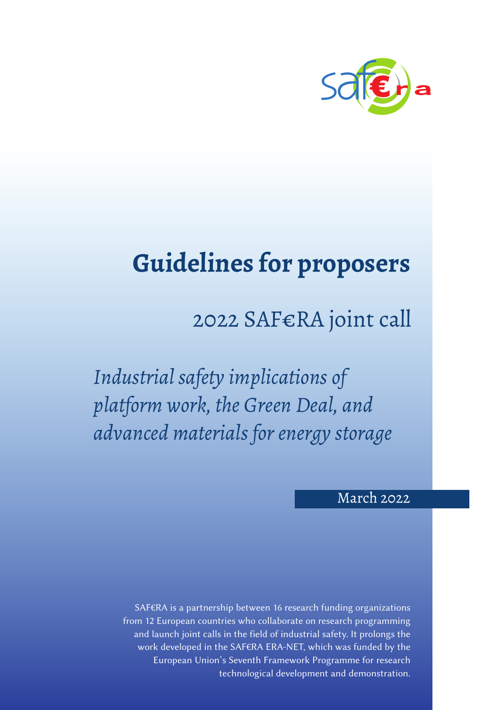

# **Guidelines for proposers**

## 2022 SAF€RA joint call

*Industrial safety implications of platform work, the Green Deal, and advanced materials for energy storage*

## March 2022

SAF€RA is a partnership between 16 research funding organizations from 12 European countries who collaborate on research programming and launch joint calls in the field of industrial safety. It prolongs the work developed in the SAF€RA ERA-NET, which was funded by the European Union's Seventh Framework Programme for research technological development and demonstration.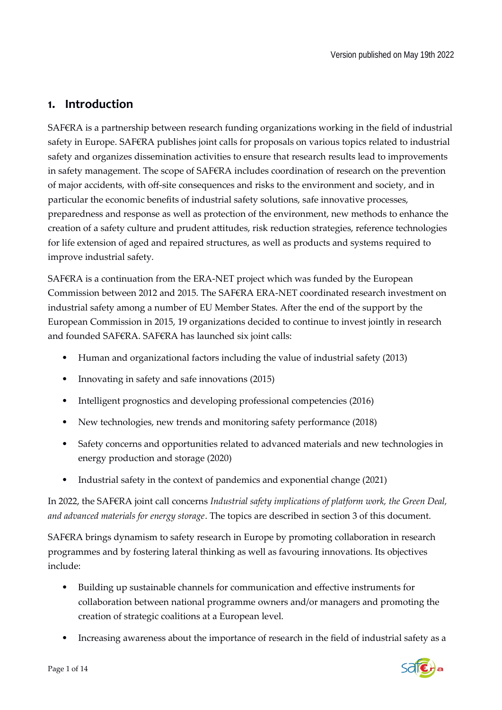## **1. Introduction**

SAF€RA is a partnership between research funding organizations working in the field of industrial safety in Europe. SAF€RA publishes joint calls for proposals on various topics related to industrial safety and organizes dissemination activities to ensure that research results lead to improvements in safety management. The scope of SAF€RA includes coordination of research on the prevention of major accidents, with off-site consequences and risks to the environment and society, and in particular the economic benefits of industrial safety solutions, safe innovative processes, preparedness and response as well as protection of the environment, new methods to enhance the creation of a safety culture and prudent attitudes, risk reduction strategies, reference technologies for life extension of aged and repaired structures, as well as products and systems required to improve industrial safety.

SAF€RA is a continuation from the ERA-NET project which was funded by the European Commission between 2012 and 2015. The SAF€RA ERA-NET coordinated research investment on industrial safety among a number of EU Member States. After the end of the support by the European Commission in 2015, 19 organizations decided to continue to invest jointly in research and founded SAF€RA. SAF€RA has launched six joint calls:

- Human and organizational factors including the value of industrial safety (2013)
- Innovating in safety and safe innovations (2015)
- Intelligent prognostics and developing professional competencies (2016)
- New technologies, new trends and monitoring safety performance (2018)
- Safety concerns and opportunities related to advanced materials and new technologies in energy production and storage (2020)
- Industrial safety in the context of pandemics and exponential change (2021)

In 2022, the SAF€RA joint call concerns *Industrial safety implications of platform work, the Green Deal, and advanced materials for energy storage*. The topics are described in section 3 of this document.

SAF€RA brings dynamism to safety research in Europe by promoting collaboration in research programmes and by fostering lateral thinking as well as favouring innovations. Its objectives include:

- Building up sustainable channels for communication and effective instruments for collaboration between national programme owners and/or managers and promoting the creation of strategic coalitions at a European level.
- Increasing awareness about the importance of research in the field of industrial safety as a

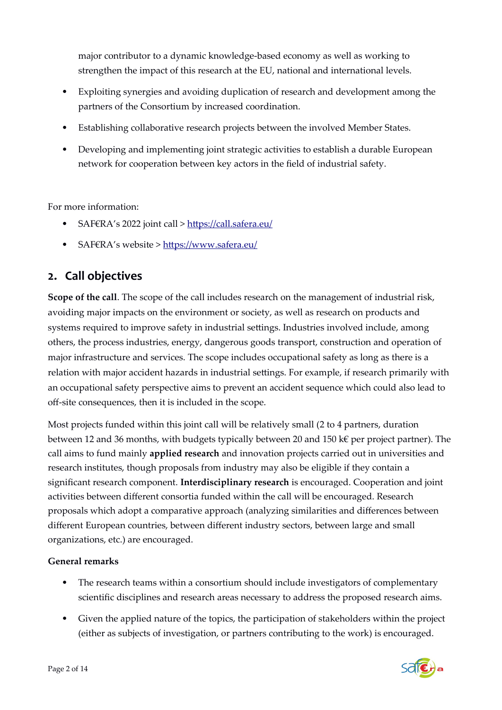major contributor to a dynamic knowledge-based economy as well as working to strengthen the impact of this research at the EU, national and international levels.

- Exploiting synergies and avoiding duplication of research and development among the partners of the Consortium by increased coordination.
- Establishing collaborative research projects between the involved Member States.
- Developing and implementing joint strategic activities to establish a durable European network for cooperation between key actors in the field of industrial safety.

For more information:

- SAF€RA's 2022 joint call ><https://call.safera.eu/>
- SAF€RA's website ><https://www.safera.eu/>

## **2. Call objectives**

**Scope of the call**. The scope of the call includes research on the management of industrial risk, avoiding major impacts on the environment or society, as well as research on products and systems required to improve safety in industrial settings. Industries involved include, among others, the process industries, energy, dangerous goods transport, construction and operation of major infrastructure and services. The scope includes occupational safety as long as there is a relation with major accident hazards in industrial settings. For example, if research primarily with an occupational safety perspective aims to prevent an accident sequence which could also lead to off-site consequences, then it is included in the scope.

Most projects funded within this joint call will be relatively small (2 to 4 partners, duration between 12 and 36 months, with budgets typically between 20 and 150 k€ per project partner). The call aims to fund mainly **applied research** and innovation projects carried out in universities and research institutes, though proposals from industry may also be eligible if they contain a significant research component. **Interdisciplinary research** is encouraged. Cooperation and joint activities between different consortia funded within the call will be encouraged. Research proposals which adopt a comparative approach (analyzing similarities and differences between different European countries, between different industry sectors, between large and small organizations, etc.) are encouraged.

#### **General remarks**

- The research teams within a consortium should include investigators of complementary scientific disciplines and research areas necessary to address the proposed research aims.
- Given the applied nature of the topics, the participation of stakeholders within the project (either as subjects of investigation, or partners contributing to the work) is encouraged.

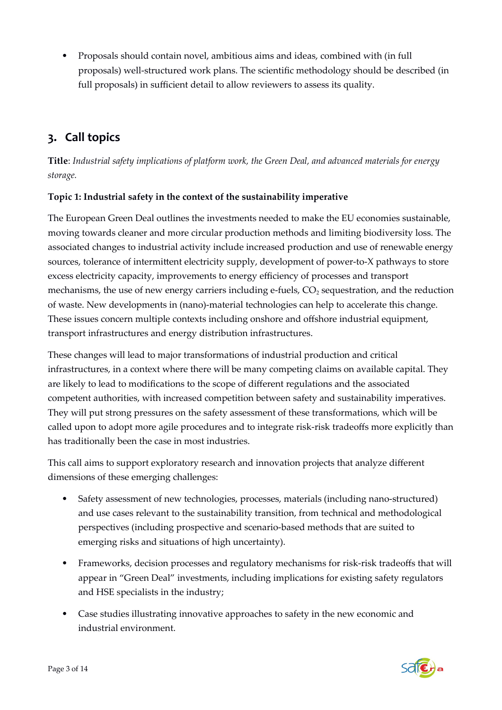Proposals should contain novel, ambitious aims and ideas, combined with (in full proposals) well-structured work plans. The scientific methodology should be described (in full proposals) in sufficient detail to allow reviewers to assess its quality.

## **3. Call topics**

**Title**: *Industrial safety implications of platform work, the Green Deal, and advanced materials for energy storage.*

#### **Topic 1: Industrial safety in the context of the sustainability imperative**

The European Green Deal outlines the investments needed to make the EU economies sustainable, moving towards cleaner and more circular production methods and limiting biodiversity loss. The associated changes to industrial activity include increased production and use of renewable energy sources, tolerance of intermittent electricity supply, development of power-to-X pathways to store excess electricity capacity, improvements to energy efficiency of processes and transport mechanisms, the use of new energy carriers including e-fuels,  $CO<sub>2</sub>$  sequestration, and the reduction of waste. New developments in (nano)-material technologies can help to accelerate this change. These issues concern multiple contexts including onshore and offshore industrial equipment, transport infrastructures and energy distribution infrastructures.

These changes will lead to major transformations of industrial production and critical infrastructures, in a context where there will be many competing claims on available capital. They are likely to lead to modifications to the scope of different regulations and the associated competent authorities, with increased competition between safety and sustainability imperatives. They will put strong pressures on the safety assessment of these transformations, which will be called upon to adopt more agile procedures and to integrate risk-risk tradeoffs more explicitly than has traditionally been the case in most industries.

This call aims to support exploratory research and innovation projects that analyze different dimensions of these emerging challenges:

- Safety assessment of new technologies, processes, materials (including nano-structured) and use cases relevant to the sustainability transition, from technical and methodological perspectives (including prospective and scenario-based methods that are suited to emerging risks and situations of high uncertainty).
- Frameworks, decision processes and regulatory mechanisms for risk-risk tradeoffs that will appear in "Green Deal" investments, including implications for existing safety regulators and HSE specialists in the industry;
- Case studies illustrating innovative approaches to safety in the new economic and industrial environment.

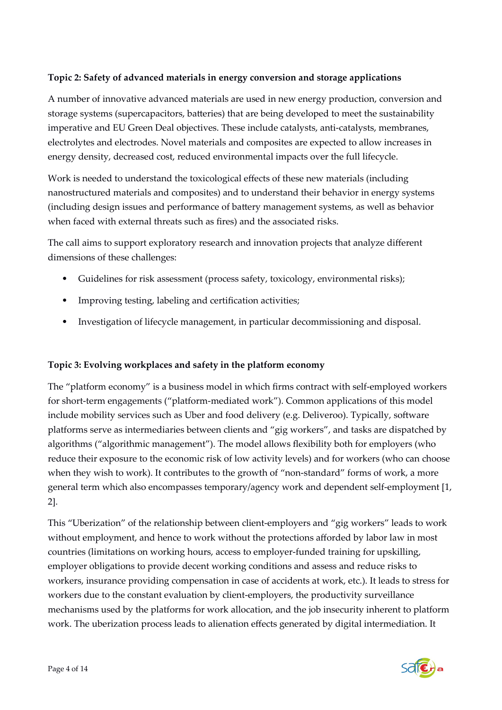#### **Topic 2: Safety of advanced materials in energy conversion and storage applications**

A number of innovative advanced materials are used in new energy production, conversion and storage systems (supercapacitors, batteries) that are being developed to meet the sustainability imperative and EU Green Deal objectives. These include catalysts, anti-catalysts, membranes, electrolytes and electrodes. Novel materials and composites are expected to allow increases in energy density, decreased cost, reduced environmental impacts over the full lifecycle.

Work is needed to understand the toxicological effects of these new materials (including nanostructured materials and composites) and to understand their behavior in energy systems (including design issues and performance of battery management systems, as well as behavior when faced with external threats such as fires) and the associated risks.

The call aims to support exploratory research and innovation projects that analyze different dimensions of these challenges:

- Guidelines for risk assessment (process safety, toxicology, environmental risks);
- Improving testing, labeling and certification activities;
- Investigation of lifecycle management, in particular decommissioning and disposal.

#### **Topic 3: Evolving workplaces and safety in the platform economy**

The "platform economy" is a business model in which firms contract with self-employed workers for short-term engagements ("platform-mediated work"). Common applications of this model include mobility services such as Uber and food delivery (e.g. Deliveroo). Typically, software platforms serve as intermediaries between clients and "gig workers", and tasks are dispatched by algorithms ("algorithmic management"). The model allows flexibility both for employers (who reduce their exposure to the economic risk of low activity levels) and for workers (who can choose when they wish to work). It contributes to the growth of "non-standard" forms of work, a more general term which also encompasses temporary/agency work and dependent self-employment [1, 2].

This "Uberization" of the relationship between client-employers and "gig workers" leads to work without employment, and hence to work without the protections afforded by labor law in most countries (limitations on working hours, access to employer-funded training for upskilling, employer obligations to provide decent working conditions and assess and reduce risks to workers, insurance providing compensation in case of accidents at work, etc.). It leads to stress for workers due to the constant evaluation by client-employers, the productivity surveillance mechanisms used by the platforms for work allocation, and the job insecurity inherent to platform work. The uberization process leads to alienation effects generated by digital intermediation. It

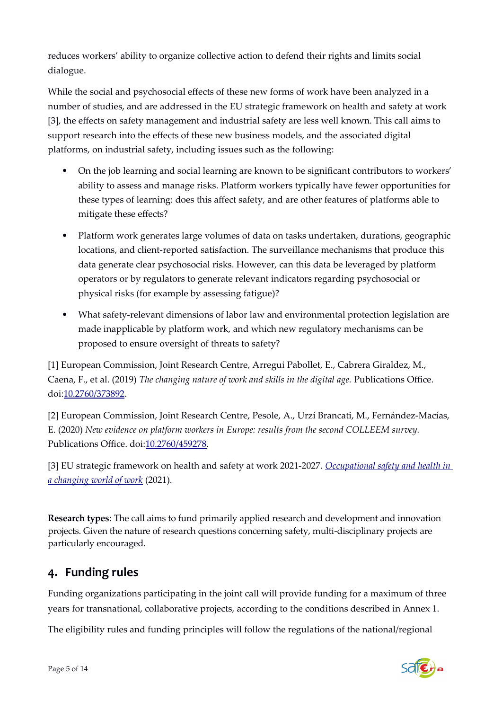reduces workers' ability to organize collective action to defend their rights and limits social dialogue.

While the social and psychosocial effects of these new forms of work have been analyzed in a number of studies, and are addressed in the EU strategic framework on health and safety at work [3], the effects on safety management and industrial safety are less well known. This call aims to support research into the effects of these new business models, and the associated digital platforms, on industrial safety, including issues such as the following:

- On the job learning and social learning are known to be significant contributors to workers' ability to assess and manage risks. Platform workers typically have fewer opportunities for these types of learning: does this affect safety, and are other features of platforms able to mitigate these effects?
- Platform work generates large volumes of data on tasks undertaken, durations, geographic locations, and client-reported satisfaction. The surveillance mechanisms that produce this data generate clear psychosocial risks. However, can this data be leveraged by platform operators or by regulators to generate relevant indicators regarding psychosocial or physical risks (for example by assessing fatigue)?
- What safety-relevant dimensions of labor law and environmental protection legislation are made inapplicable by platform work, and which new regulatory mechanisms can be proposed to ensure oversight of threats to safety?

[1] European Commission, Joint Research Centre, Arregui Pabollet, E., Cabrera Giraldez, M., Caena, F., et al. (2019) *The changing nature of work and skills in the digital age.* Publications Office. doi[:10.2760/373892.](https://doi.org/10.2760/373892)

[2] European Commission, Joint Research Centre, Pesole, A., Urzí Brancati, M., Fernández-Macías, E. (2020) *New evidence on platform workers in Europe: results from the second COLLEEM survey.* Publications Office. doi:[10.2760/459278](https://doi.org/10.2760/459278).

[3] EU strategic framework on health and safety at work 2021-2027. *[Occupational safety and health in](https://eur-lex.europa.eu/legal-content/EN/TXT/?uri=CELEX%3A52021DC0323&qid=1626089672913#PP1Contents)  [a changing world of work](https://eur-lex.europa.eu/legal-content/EN/TXT/?uri=CELEX%3A52021DC0323&qid=1626089672913#PP1Contents)* (2021).

**Research types**: The call aims to fund primarily applied research and development and innovation projects. Given the nature of research questions concerning safety, multi-disciplinary projects are particularly encouraged.

## **4. Funding rules**

Funding organizations participating in the joint call will provide funding for a maximum of three years for transnational, collaborative projects, according to the conditions described in Annex 1.

The eligibility rules and funding principles will follow the regulations of the national/regional

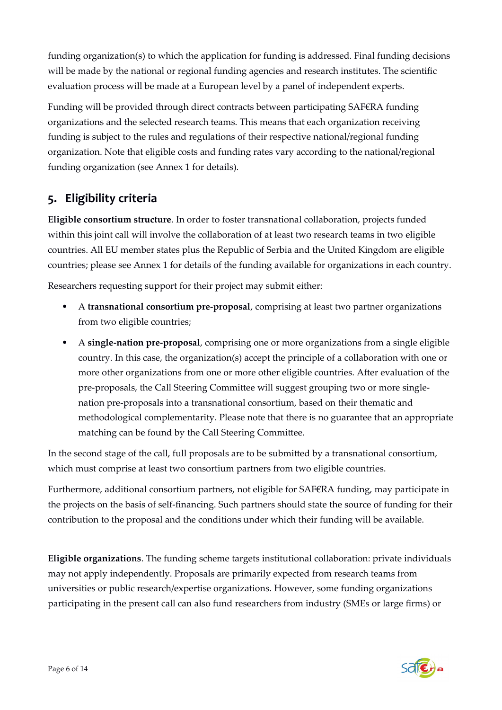funding organization(s) to which the application for funding is addressed. Final funding decisions will be made by the national or regional funding agencies and research institutes. The scientific evaluation process will be made at a European level by a panel of independent experts.

Funding will be provided through direct contracts between participating SAF€RA funding organizations and the selected research teams. This means that each organization receiving funding is subject to the rules and regulations of their respective national/regional funding organization. Note that eligible costs and funding rates vary according to the national/regional funding organization (see Annex 1 for details).

## **5. Eligibility criteria**

**Eligible consortium structure**. In order to foster transnational collaboration, projects funded within this joint call will involve the collaboration of at least two research teams in two eligible countries. All EU member states plus the Republic of Serbia and the United Kingdom are eligible countries; please see Annex 1 for details of the funding available for organizations in each country.

Researchers requesting support for their project may submit either:

- A **transnational consortium pre-proposal**, comprising at least two partner organizations from two eligible countries;
- A **single-nation pre-proposal**, comprising one or more organizations from a single eligible country. In this case, the organization(s) accept the principle of a collaboration with one or more other organizations from one or more other eligible countries. After evaluation of the pre-proposals, the Call Steering Committee will suggest grouping two or more singlenation pre-proposals into a transnational consortium, based on their thematic and methodological complementarity. Please note that there is no guarantee that an appropriate matching can be found by the Call Steering Committee.

In the second stage of the call, full proposals are to be submitted by a transnational consortium, which must comprise at least two consortium partners from two eligible countries.

Furthermore, additional consortium partners, not eligible for SAF€RA funding, may participate in the projects on the basis of self-financing. Such partners should state the source of funding for their contribution to the proposal and the conditions under which their funding will be available.

**Eligible organizations**. The funding scheme targets institutional collaboration: private individuals may not apply independently. Proposals are primarily expected from research teams from universities or public research/expertise organizations. However, some funding organizations participating in the present call can also fund researchers from industry (SMEs or large firms) or

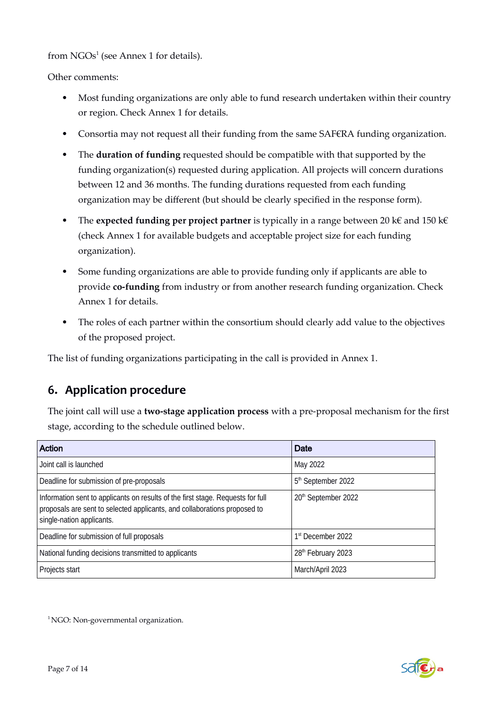<span id="page-7-0"></span>from  $NGOs<sup>1</sup>$  $NGOs<sup>1</sup>$  $NGOs<sup>1</sup>$  (see Annex 1 for details).

Other comments:

- Most funding organizations are only able to fund research undertaken within their country or region. Check Annex 1 for details.
- Consortia may not request all their funding from the same SAF€RA funding organization.
- The **duration of funding** requested should be compatible with that supported by the funding organization(s) requested during application. All projects will concern durations between 12 and 36 months. The funding durations requested from each funding organization may be different (but should be clearly specified in the response form).
- The **expected funding per project partner** is typically in a range between 20 k€ and 150 k€ (check Annex 1 for available budgets and acceptable project size for each funding organization).
- Some funding organizations are able to provide funding only if applicants are able to provide **co-funding** from industry or from another research funding organization. Check Annex 1 for details.
- The roles of each partner within the consortium should clearly add value to the objectives of the proposed project.

The list of funding organizations participating in the call is provided in Annex 1.

## **6. Application procedure**

The joint call will use a **two-stage application process** with a pre-proposal mechanism for the first stage, according to the schedule outlined below.

| Action                                                                                                                                                                                    | Date                            |
|-------------------------------------------------------------------------------------------------------------------------------------------------------------------------------------------|---------------------------------|
| Joint call is launched                                                                                                                                                                    | May 2022                        |
| Deadline for submission of pre-proposals                                                                                                                                                  | 5 <sup>th</sup> September 2022  |
| Information sent to applicants on results of the first stage. Requests for full<br>proposals are sent to selected applicants, and collaborations proposed to<br>single-nation applicants. | 20 <sup>th</sup> September 2022 |
| Deadline for submission of full proposals                                                                                                                                                 | 1 <sup>st</sup> December 2022   |
| National funding decisions transmitted to applicants                                                                                                                                      | 28th February 2023              |
| Projects start                                                                                                                                                                            | March/April 2023                |

<span id="page-7-1"></span> $1$  NGO: Non-governmental organization.

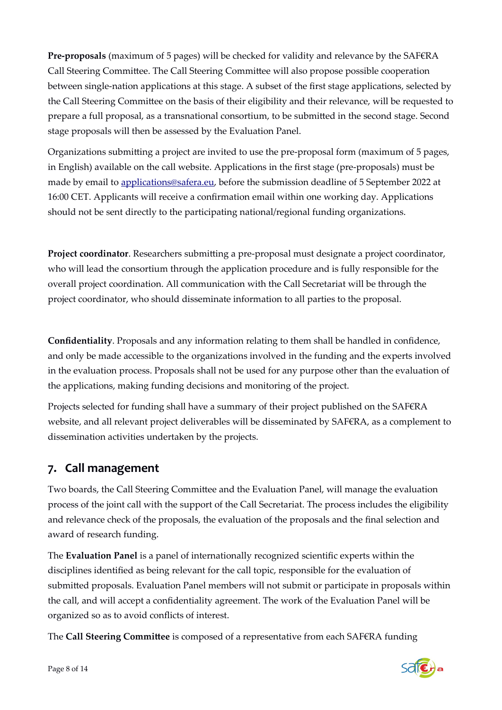**Pre-proposals** (maximum of 5 pages) will be checked for validity and relevance by the SAF€RA Call Steering Committee. The Call Steering Committee will also propose possible cooperation between single-nation applications at this stage. A subset of the first stage applications, selected by the Call Steering Committee on the basis of their eligibility and their relevance, will be requested to prepare a full proposal, as a transnational consortium, to be submitted in the second stage. Second stage proposals will then be assessed by the Evaluation Panel.

Organizations submitting a project are invited to use the pre-proposal form (maximum of 5 pages, in English) available on the call website. Applications in the first stage (pre-proposals) must be made by email to [applications@safera.eu](mailto:applications@safera.eu), before the submission deadline of 5 September 2022 at 16:00 CET. Applicants will receive a confirmation email within one working day. Applications should not be sent directly to the participating national/regional funding organizations.

**Project coordinator**. Researchers submitting a pre-proposal must designate a project coordinator, who will lead the consortium through the application procedure and is fully responsible for the overall project coordination. All communication with the Call Secretariat will be through the project coordinator, who should disseminate information to all parties to the proposal.

**Confidentiality**. Proposals and any information relating to them shall be handled in confidence, and only be made accessible to the organizations involved in the funding and the experts involved in the evaluation process. Proposals shall not be used for any purpose other than the evaluation of the applications, making funding decisions and monitoring of the project.

Projects selected for funding shall have a summary of their project published on the SAF€RA website, and all relevant project deliverables will be disseminated by SAF€RA, as a complement to dissemination activities undertaken by the projects.

## **7. Call management**

Two boards, the Call Steering Committee and the Evaluation Panel, will manage the evaluation process of the joint call with the support of the Call Secretariat. The process includes the eligibility and relevance check of the proposals, the evaluation of the proposals and the final selection and award of research funding.

The **Evaluation Panel** is a panel of internationally recognized scientific experts within the disciplines identified as being relevant for the call topic, responsible for the evaluation of submitted proposals. Evaluation Panel members will not submit or participate in proposals within the call, and will accept a confidentiality agreement. The work of the Evaluation Panel will be organized so as to avoid conflicts of interest.

The **Call Steering Committee** is composed of a representative from each SAF€RA funding

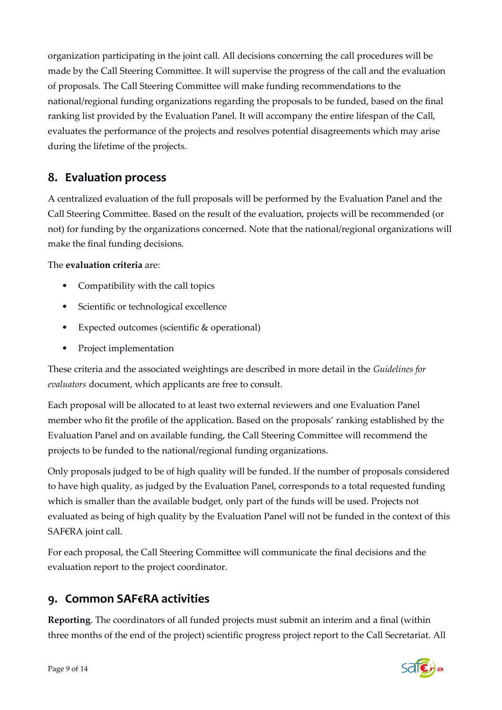organization participating in the joint call. All decisions concerning the call procedures will be made by the Call Steering Committee. It will supervise the progress of the call and the evaluation of proposals. The Call Steering Committee will make funding recommendations to the national/regional funding organizations regarding the proposals to be funded, based on the final ranking list provided by the Evaluation Panel. It will accompany the entire lifespan of the Call, evaluates the performance of the projects and resolves potential disagreements which may arise during the lifetime of the projects.

## **8. Evaluation process**

A centralized evaluation of the full proposals will be performed by the Evaluation Panel and the Call Steering Committee. Based on the result of the evaluation, projects will be recommended (or not) for funding by the organizations concerned. Note that the national/regional organizations will make the final funding decisions.

#### The **evaluation criteria** are:

- Compatibility with the call topics
- Scientific or technological excellence
- Expected outcomes (scientific & operational)
- Project implementation

These criteria and the associated weightings are described in more detail in the *Guidelines for evaluators* document, which applicants are free to consult.

Each proposal will be allocated to at least two external reviewers and one Evaluation Panel member who fit the profile of the application. Based on the proposals' ranking established by the Evaluation Panel and on available funding, the Call Steering Committee will recommend the projects to be funded to the national/regional funding organizations.

Only proposals judged to be of high quality will be funded. If the number of proposals considered to have high quality, as judged by the Evaluation Panel, corresponds to a total requested funding which is smaller than the available budget, only part of the funds will be used. Projects not evaluated as being of high quality by the Evaluation Panel will not be funded in the context of this SAF€RA joint call.

For each proposal, the Call Steering Committee will communicate the final decisions and the evaluation report to the project coordinator.

## **9. Common SAF€RA activities**

**Reporting**. The coordinators of all funded projects must submit an interim and a final (within three months of the end of the project) scientific progress project report to the Call Secretariat. All

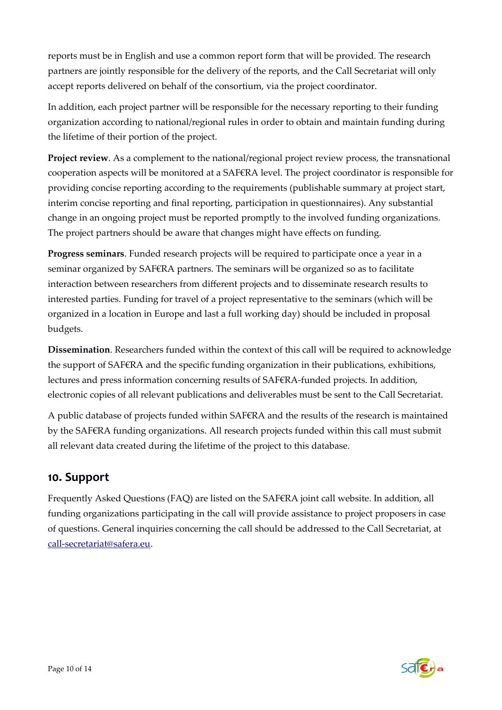reports must be in English and use a common report form that will be provided. The research partners are jointly responsible for the delivery of the reports, and the Call Secretariat will only accept reports delivered on behalf of the consortium, via the project coordinator.

In addition, each project partner will be responsible for the necessary reporting to their funding organization according to national/regional rules in order to obtain and maintain funding during the lifetime of their portion of the project.

**Project review**. As a complement to the national/regional project review process, the transnational cooperation aspects will be monitored at a SAF€RA level. The project coordinator is responsible for providing concise reporting according to the requirements (publishable summary at project start, interim concise reporting and final reporting, participation in questionnaires). Any substantial change in an ongoing project must be reported promptly to the involved funding organizations. The project partners should be aware that changes might have effects on funding.

**Progress seminars**. Funded research projects will be required to participate once a year in a seminar organized by SAF€RA partners. The seminars will be organized so as to facilitate interaction between researchers from different projects and to disseminate research results to interested parties. Funding for travel of a project representative to the seminars (which will be organized in a location in Europe and last a full working day) should be included in proposal budgets.

**Dissemination**. Researchers funded within the context of this call will be required to acknowledge the support of SAF€RA and the specific funding organization in their publications, exhibitions, lectures and press information concerning results of SAF€RA-funded projects. In addition, electronic copies of all relevant publications and deliverables must be sent to the Call Secretariat.

A public database of projects funded within SAF€RA and the results of the research is maintained by the SAF€RA funding organizations. All research projects funded within this call must submit all relevant data created during the lifetime of the project to this database.

## **10. Support**

Frequently Asked Questions (FAQ) are listed on the SAF€RA joint call website. In addition, all funding organizations participating in the call will provide assistance to project proposers in case of questions. General inquiries concerning the call should be addressed to the Call Secretariat, at [call-secretariat@safera.eu](mailto:call-secretariat@safera.eu).

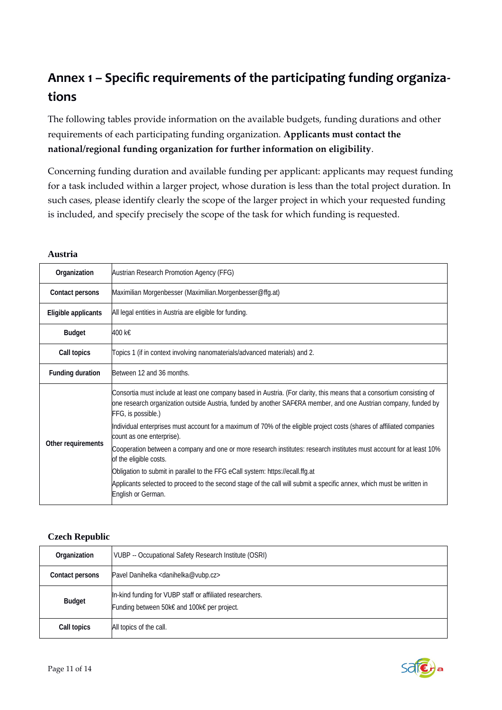## **Annex 1 – Specific requirements of the participating funding organizations**

The following tables provide information on the available budgets, funding durations and other requirements of each participating funding organization. **Applicants must contact the national/regional funding organization for further information on eligibility**.

Concerning funding duration and available funding per applicant: applicants may request funding for a task included within a larger project, whose duration is less than the total project duration. In such cases, please identify clearly the scope of the larger project in which your requested funding is included, and specify precisely the scope of the task for which funding is requested.

| Organization            | Austrian Research Promotion Agency (FFG)                                                                                                                                                                                                                        |
|-------------------------|-----------------------------------------------------------------------------------------------------------------------------------------------------------------------------------------------------------------------------------------------------------------|
| <b>Contact persons</b>  | Maximilian Morgenbesser (Maximilian.Morgenbesser@ffg.at)                                                                                                                                                                                                        |
| Eligible applicants     | All legal entities in Austria are eligible for funding.                                                                                                                                                                                                         |
| <b>Budget</b>           | $400$ k€                                                                                                                                                                                                                                                        |
| <b>Call topics</b>      | Topics 1 (if in context involving nanomaterials/advanced materials) and 2.                                                                                                                                                                                      |
| <b>Funding duration</b> | Between 12 and 36 months.                                                                                                                                                                                                                                       |
| Other requirements      | Consortia must include at least one company based in Austria. (For clarity, this means that a consortium consisting of<br>one research organization outside Austria, funded by another SAF€RA member, and one Austrian company, funded by<br>FFG, is possible.) |
|                         | Individual enterprises must account for a maximum of 70% of the eligible project costs (shares of affiliated companies<br>count as one enterprise).                                                                                                             |
|                         | Cooperation between a company and one or more research institutes: research institutes must account for at least 10%<br>of the eligible costs.                                                                                                                  |
|                         | Obligation to submit in parallel to the FFG eCall system: https://ecall.ffg.at                                                                                                                                                                                  |
|                         | Applicants selected to proceed to the second stage of the call will submit a specific annex, which must be written in<br>English or German.                                                                                                                     |

#### **Austria**

#### **Czech Republic**

| Organization           | VUBP -- Occupational Safety Research Institute (OSRI)                                                    |
|------------------------|----------------------------------------------------------------------------------------------------------|
| <b>Contact persons</b> | Pavel Danihelka <danihelka@vubp.cz></danihelka@vubp.cz>                                                  |
| <b>Budget</b>          | In-kind funding for VUBP staff or affiliated researchers.<br>Funding between 50k€ and 100k€ per project. |
| Call topics            | All topics of the call.                                                                                  |

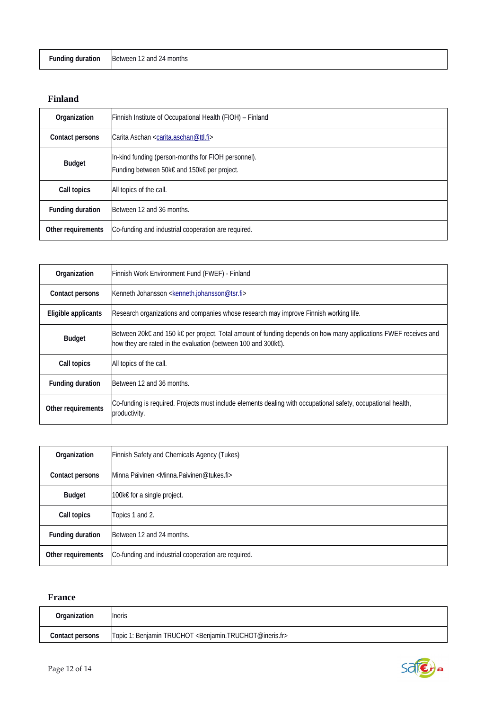| <b>Funding duration</b> | Between 12 and 24 months |
|-------------------------|--------------------------|
|-------------------------|--------------------------|

#### **Finland**

| Organization            | Finnish Institute of Occupational Health (FIOH) – Finland                                          |
|-------------------------|----------------------------------------------------------------------------------------------------|
| <b>Contact persons</b>  | Carita Aschan <carita.aschan@ttl.fi></carita.aschan@ttl.fi>                                        |
| <b>Budget</b>           | In-kind funding (person-months for FIOH personnel).<br>Funding between 50k€ and 150k€ per project. |
| Call topics             | All topics of the call.                                                                            |
| <b>Funding duration</b> | Between 12 and 36 months.                                                                          |
| Other requirements      | Co-funding and industrial cooperation are required.                                                |

| Organization            | Finnish Work Environment Fund (FWEF) - Finland                                                                                                                                              |
|-------------------------|---------------------------------------------------------------------------------------------------------------------------------------------------------------------------------------------|
| <b>Contact persons</b>  | Kenneth Johansson <kenneth.johansson@tsr.fi></kenneth.johansson@tsr.fi>                                                                                                                     |
| Eligible applicants     | Research organizations and companies whose research may improve Finnish working life.                                                                                                       |
| <b>Budget</b>           | Between 20k€ and 150 k€ per project. Total amount of funding depends on how many applications FWEF receives and<br>how they are rated in the evaluation (between 100 and 300 $k\epsilon$ ). |
| <b>Call topics</b>      | All topics of the call.                                                                                                                                                                     |
| <b>Funding duration</b> | Between 12 and 36 months.                                                                                                                                                                   |
| Other requirements      | Co-funding is required. Projects must include elements dealing with occupational safety, occupational health,<br>productivity.                                                              |

| Organization            | Finnish Safety and Chemicals Agency (Tukes)                        |
|-------------------------|--------------------------------------------------------------------|
| <b>Contact persons</b>  | Minna Päivinen <minna.paivinen@tukes.fi></minna.paivinen@tukes.fi> |
| <b>Budget</b>           | $100k€$ for a single project.                                      |
| Call topics             | Topics 1 and 2.                                                    |
| <b>Funding duration</b> | Between 12 and 24 months.                                          |
| Other requirements      | Co-funding and industrial cooperation are required.                |

#### **France**

| Organization           | llneris                                                                             |
|------------------------|-------------------------------------------------------------------------------------|
| <b>Contact persons</b> | Topic 1: Benjamin TRUCHOT <benjamin.truchot@ineris.fr></benjamin.truchot@ineris.fr> |

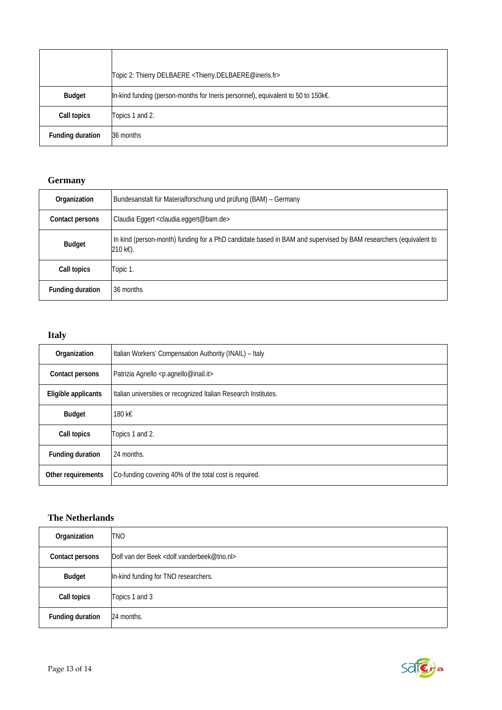|                         | Topic 2: Thierry DELBAERE <thierry.delbaere@ineris.fr></thierry.delbaere@ineris.fr> |
|-------------------------|-------------------------------------------------------------------------------------|
| <b>Budget</b>           | ∥n-kind funding (person-months for Ineris personnel), equivalent to 50 to 150k€.    |
| <b>Call topics</b>      | Topics 1 and 2.                                                                     |
| <b>Funding duration</b> | 36 months                                                                           |

#### **Germany**

| Organization            | Bundesanstalt für Materialforschung und prüfung (BAM) – Germany                                                              |
|-------------------------|------------------------------------------------------------------------------------------------------------------------------|
| <b>Contact persons</b>  | Claudia Eggert <claudia.eggert@bam.de></claudia.eggert@bam.de>                                                               |
| <b>Budget</b>           | In kind (person-month) funding for a PhD candidate based in BAM and supervised by BAM researchers (equivalent to<br>210 k€). |
| Call topics             | Topic 1.                                                                                                                     |
| <b>Funding duration</b> | 36 months                                                                                                                    |

#### **Italy**

| Organization               | Italian Workers' Compensation Authority (INAIL) - Italy         |
|----------------------------|-----------------------------------------------------------------|
| <b>Contact persons</b>     | Patrizia Agnello <p.agnello@inail.it></p.agnello@inail.it>      |
| <b>Eligible applicants</b> | Italian universities or recognized Italian Research Institutes. |
| <b>Budget</b>              | 180 k€                                                          |
| Call topics                | Topics 1 and 2.                                                 |
| <b>Funding duration</b>    | 24 months.                                                      |
| Other requirements         | Co-funding covering 40% of the total cost is required.          |

#### **The Netherlands**

| Organization            | <b>TNO</b>                                                          |
|-------------------------|---------------------------------------------------------------------|
| <b>Contact persons</b>  | Dolf van der Beek <dolf.vanderbeek@tno.nl></dolf.vanderbeek@tno.nl> |
| <b>Budget</b>           | In-kind funding for TNO researchers.                                |
| Call topics             | Topics 1 and 3                                                      |
| <b>Funding duration</b> | 24 months.                                                          |